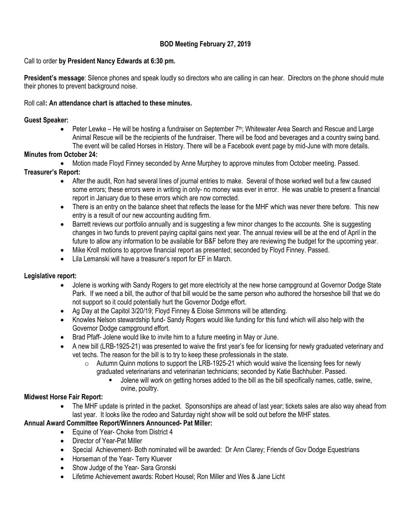### **BOD Meeting February 27, 2019**

### Call to order **by President Nancy Edwards at 6:30 pm.**

**President's message**: Silence phones and speak loudly so directors who are calling in can hear. Directors on the phone should mute their phones to prevent background noise.

#### Roll call**: An attendance chart is attached to these minutes.**

#### **Guest Speaker:**

 $\bullet$  Peter Lewke – He will be hosting a fundraiser on September 7<sup>th</sup>; Whitewater Area Search and Rescue and Large Animal Rescue will be the recipients of the fundraiser. There will be food and beverages and a country swing band. The event will be called Horses in History. There will be a Facebook event page by mid-June with more details.

### **Minutes from October 24:**

Motion made Floyd Finney seconded by Anne Murphey to approve minutes from October meeting. Passed.

#### **Treasurer's Report:**

- After the audit, Ron had several lines of journal entries to make. Several of those worked well but a few caused some errors; these errors were in writing in only- no money was ever in error. He was unable to present a financial report in January due to these errors which are now corrected.
- There is an entry on the balance sheet that reflects the lease for the MHF which was never there before. This new entry is a result of our new accounting auditing firm.
- Barrett reviews our portfolio annually and is suggesting a few minor changes to the accounts. She is suggesting changes in two funds to prevent paying capital gains next year. The annual review will be at the end of April in the future to allow any information to be available for B&F before they are reviewing the budget for the upcoming year.
- Mike Kroll motions to approve financial report as presented; seconded by Floyd Finney. Passed.
- Lila Lemanski will have a treasurer's report for EF in March.

### **Legislative report:**

- Jolene is working with Sandy Rogers to get more electricity at the new horse campground at Governor Dodge State Park. If we need a bill, the author of that bill would be the same person who authored the horseshoe bill that we do not support so it could potentially hurt the Governor Dodge effort.
- Ag Day at the Capitol 3/20/19; Floyd Finney & Eloise Simmons will be attending.
- Knowles Nelson stewardship fund- Sandy Rogers would like funding for this fund which will also help with the Governor Dodge campground effort.
- Brad Pfaff- Jolene would like to invite him to a future meeting in May or June.
- A new bill (LRB-1925-21) was presented to waive the first year's fee for licensing for newly graduated veterinary and vet techs. The reason for the bill is to try to keep these professionals in the state.
	- $\circ$  Autumn Quinn motions to support the LRB-1925-21 which would waive the licensing fees for newly graduated veterinarians and veterinarian technicians; seconded by Katie Bachhuber. Passed.
		- Jolene will work on getting horses added to the bill as the bill specifically names, cattle, swine, ovine, poultry.

#### **Midwest Horse Fair Report:**

 The MHF update is printed in the packet. Sponsorships are ahead of last year; tickets sales are also way ahead from last year. It looks like the rodeo and Saturday night show will be sold out before the MHF states.

### **Annual Award Committee Report/Winners Announced- Pat Miller:**

- Equine of Year- Choke from District 4
- Director of Year-Pat Miller
- Special Achievement- Both nominated will be awarded: Dr Ann Clarey; Friends of Gov Dodge Equestrians
- Horseman of the Year- Terry Kluever
- Show Judge of the Year- Sara Gronski
- Lifetime Achievement awards: Robert Housel; Ron Miller and Wes & Jane Licht